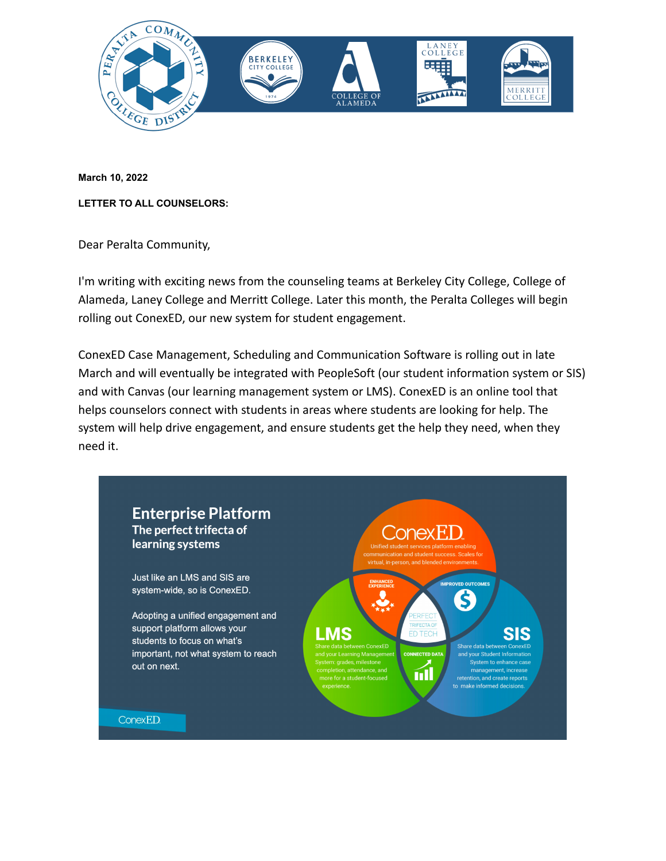

**March 10, 2022**

**LETTER TO ALL COUNSELORS:**

Dear Peralta Community,

I'm writing with exciting news from the counseling teams at Berkeley City College, College of Alameda, Laney College and Merritt College. Later this month, the Peralta Colleges will begin rolling out ConexED, our new system for student engagement.

ConexED Case Management, Scheduling and Communication Software is rolling out in late March and will eventually be integrated with PeopleSoft (our student information system or SIS) and with Canvas (our learning management system or LMS). ConexED is an online tool that helps counselors connect with students in areas where students are looking for help. The system will help drive engagement, and ensure students get the help they need, when they need it.